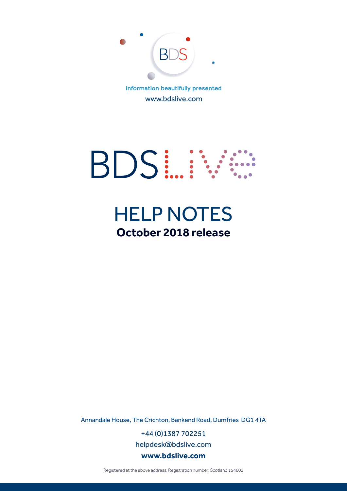

www.bdslive.com



# HELP NOTES **October 2018 release**

Annandale House, The Crichton, Bankend Road, Dumfries DG1 4TA

+44 (0)1387 702251 helpdesk@bdslive.com **www.bdslive.com**

Registered at the above address. Registration number: Scotland 154602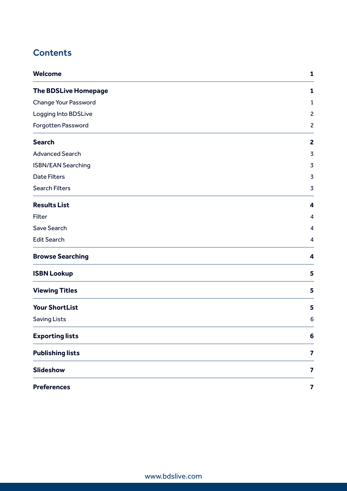## **Contents**

| <b>Welcome</b>              | 1                       |
|-----------------------------|-------------------------|
| <b>The BDSLive Homepage</b> | 1                       |
| <b>Change Your Password</b> | $\mathbf{1}$            |
| Logging Into BDSLive        | $\overline{c}$          |
| Forgotten Password          | $\overline{2}$          |
| <b>Search</b>               | $\overline{2}$          |
| <b>Advanced Search</b>      | $\overline{3}$          |
| <b>ISBN/EAN Searching</b>   | $\overline{3}$          |
| <b>Date Filters</b>         | $\overline{3}$          |
| <b>Search Filters</b>       | $\overline{3}$          |
| <b>Results List</b>         | 4                       |
| Filter                      | $\overline{4}$          |
| <b>Save Search</b>          | 4                       |
| <b>Edit Search</b>          | 4                       |
| <b>Browse Searching</b>     | 4                       |
| <b>ISBN Lookup</b>          | 5                       |
| <b>Viewing Titles</b>       | 5                       |
| <b>Your ShortList</b>       | 5                       |
| <b>Saving Lists</b>         | 6                       |
| <b>Exporting lists</b>      | 6                       |
| <b>Publishing lists</b>     | $\overline{\mathbf{z}}$ |
| <b>Slideshow</b>            | $\overline{\mathbf{z}}$ |
| <b>Preferences</b>          | $\overline{\mathbf{z}}$ |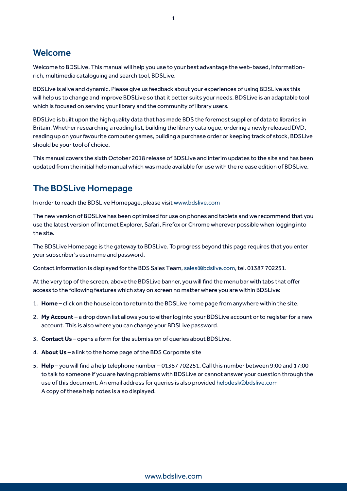### Welcome

Welcome to BDSLive. This manual will help you use to your best advantage the web-based, informationrich, multimedia cataloguing and search tool, BDSLive.

BDSLive is alive and dynamic. Please give us feedback about your experiences of using BDSLive as this will help us to change and improve BDSLive so that it better suits your needs. BDSLive is an adaptable tool which is focused on serving your library and the community of library users.

BDSLive is built upon the high quality data that has made BDS the foremost supplier of data to libraries in Britain. Whether researching a reading list, building the library catalogue, ordering a newly released DVD, reading up on your favourite computer games, building a purchase order or keeping track of stock, BDSLive should be your tool of choice.

This manual covers the sixth October 2018 release of BDSLive and interim updates to the site and has been updated from the initial help manual which was made available for use with the release edition of BDSLive.

### The BDSLive Homepage

In order to reach the BDSLive Homepage, please visit www.bdslive.com

The new version of BDSLive has been optimised for use on phones and tablets and we recommend that you use the latest version of Internet Explorer, Safari, Firefox or Chrome wherever possible when logging into the site.

The BDSLive Homepage is the gateway to BDSLive. To progress beyond this page requires that you enter your subscriber's username and password.

Contact information is displayed for the BDS Sales Team, sales@bdslive.com, tel. 01387 702251.

At the very top of the screen, above the BDSLive banner, you will find the menu bar with tabs that offer access to the following features which stay on screen no matter where you are within BDSLive:

- 1. **Home** click on the house icon to return to the BDSLive home page from anywhere within the site.
- 2. **My Account** a drop down list allows you to either log into your BDSLive account or to register for a new account. This is also where you can change your BDSLive password.
- 3. **Contact Us** opens a form for the submission of queries about BDSLive.
- 4. **About Us** a link to the home page of the BDS Corporate site
- 5. **Help** you will find a help telephone number 01387 702251. Call this number between 9:00 and 17:00 to talk to someone if you are having problems with BDSLive or cannot answer your question through the use of this document. An email address for queries is also provided helpdesk@bdslive.com A copy of these help notes is also displayed.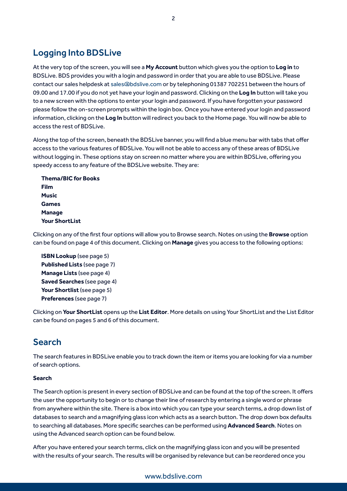### Logging Into BDSLive

At the very top of the screen, you will see a **My Account** button which gives you the option to **Log in** to BDSLive. BDS provides you with a login and password in order that you are able to use BDSLive. Please contact our sales helpdesk at sales@bdslive.com or by telephoning 01387 702251 between the hours of 09.00 and 17.00 if you do not yet have your login and password. Clicking on the **Log In** button will take you to a new screen with the options to enter your login and password. If you have forgotten your password please follow the on-screen prompts within the login box. Once you have entered your login and password information, clicking on the **Log In** button will redirect you back to the Home page. You will now be able to access the rest of BDSLive.

Along the top of the screen, beneath the BDSLive banner, you will find a blue menu bar with tabs that offer access to the various features of BDSLive. You will not be able to access any of these areas of BDSLive without logging in. These options stay on screen no matter where you are within BDSLive, offering you speedy access to any feature of the BDSLive website. They are:

**Thema/BIC for Books Film Music Games Manage Your ShortList**

Clicking on any of the first four options will allow you to Browse search. Notes on using the **Browse** option can be found on page 4 of this document. Clicking on **Manage** gives you access to the following options:

**ISBN Lookup** (see page 5) **Published Lists** (see page 7) **Manage Lists** (see page 4) **Saved Searches** (see page 4) **Your Shortlist** (see page 5) **Preferences** (see page 7)

Clicking on **Your ShortList** opens up the **List Editor**. More details on using Your ShortList and the List Editor can be found on pages 5 and 6 of this document.

### Search

The search features in BDSLive enable you to track down the item or items you are looking for via a number of search options.

#### **Search**

The Search option is present in every section of BDSLive and can be found at the top of the screen. It offers the user the opportunity to begin or to change their line of research by entering a single word or phrase from anywhere within the site. There is a box into which you can type your search terms, a drop down list of databases to search and a magnifying glass icon which acts as a search button. The drop down box defaults to searching all databases. More specific searches can be performed using **Advanced Search**. Notes on using the Advanced search option can be found below.

After you have entered your search terms, click on the magnifying glass icon and you will be presented with the results of your search. The results will be organised by relevance but can be reordered once you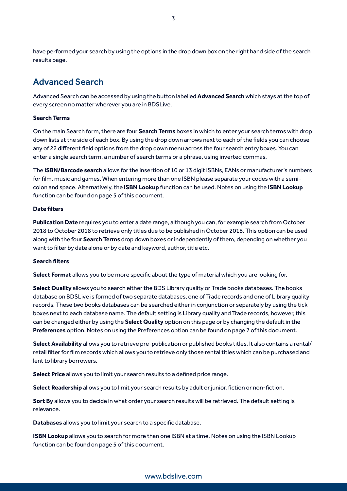have performed your search by using the options in the drop down box on the right hand side of the search results page.

### Advanced Search

Advanced Search can be accessed by using the button labelled **Advanced Search** which stays at the top of every screen no matter wherever you are in BDSLive.

#### **Search Terms**

On the main Search form, there are four **Search Terms** boxes in which to enter your search terms with drop down lists at the side of each box. By using the drop down arrows next to each of the fields you can choose any of 22 different field options from the drop down menu across the four search entry boxes. You can enter a single search term, a number of search terms or a phrase, using inverted commas.

The **ISBN/Barcode search** allows for the insertion of 10 or 13 digit ISBNs, EANs or manufacturer's numbers for film, music and games. When entering more than one ISBN please separate your codes with a semicolon and space. Alternatively, the **ISBN Lookup** function can be used. Notes on using the **ISBN Lookup** function can be found on page 5 of this document.

#### **Date filters**

**Publication Date** requires you to enter a date range, although you can, for example search from October 2018 to October 2018 to retrieve only titles due to be published in October 2018. This option can be used along with the four **Search Terms** drop down boxes or independently of them, depending on whether you want to filter by date alone or by date and keyword, author, title etc.

#### **Search filters**

**Select Format** allows you to be more specific about the type of material which you are looking for.

**Select Quality** allows you to search either the BDS Library quality or Trade books databases. The books database on BDSLive is formed of two separate databases, one of Trade records and one of Library quality records. These two books databases can be searched either in conjunction or separately by using the tick boxes next to each database name. The default setting is Library quality and Trade records, however, this can be changed either by using the **Select Quality** option on this page or by changing the default in the **Preferences** option. Notes on using the Preferences option can be found on page 7 of this document.

**Select Availability** allows you to retrieve pre-publication or published books titles. It also contains a rental/ retail filter for film records which allows you to retrieve only those rental titles which can be purchased and lent to library borrowers.

**Select Price** allows you to limit your search results to a defined price range.

**Select Readership** allows you to limit your search results by adult or junior, fiction or non-fiction.

**Sort By** allows you to decide in what order your search results will be retrieved. The default setting is relevance.

**Databases** allows you to limit your search to a specific database.

**ISBN Lookup** allows you to search for more than one ISBN at a time. Notes on using the ISBN Lookup function can be found on page 5 of this document.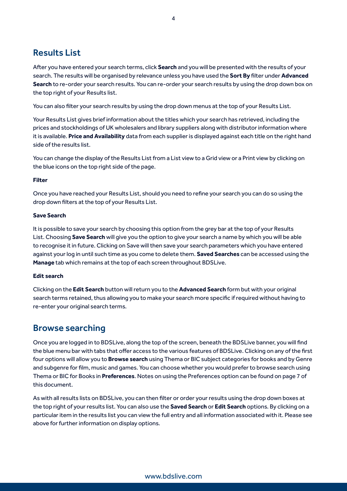### Results List

After you have entered your search terms, click **Search** and you will be presented with the results of your search. The results will be organised by relevance unless you have used the **Sort By** filter under **Advanced Search** to re-order your search results. You can re-order your search results by using the drop down box on the top right of your Results list.

You can also filter your search results by using the drop down menus at the top of your Results List.

Your Results List gives brief information about the titles which your search has retrieved, including the prices and stockholdings of UK wholesalers and library suppliers along with distributor information where it is available. **Price and Availability** data from each supplier is displayed against each title on the right hand side of the results list.

You can change the display of the Results List from a List view to a Grid view or a Print view by clicking on the blue icons on the top right side of the page.

#### **Filter**

Once you have reached your Results List, should you need to refine your search you can do so using the drop down filters at the top of your Results List.

#### **Save Search**

It is possible to save your search by choosing this option from the grey bar at the top of your Results List. Choosing **Save Search** will give you the option to give your search a name by which you will be able to recognise it in future. Clicking on Save will then save your search parameters which you have entered against your log in until such time as you come to delete them. **Saved Searches** can be accessed using the **Manage** tab which remains at the top of each screen throughout BDSLive.

#### **Edit search**

Clicking on the **Edit Search** button will return you to the **Advanced Search** form but with your original search terms retained, thus allowing you to make your search more specific if required without having to re-enter your original search terms.

### Browse searching

Once you are logged in to BDSLive, along the top of the screen, beneath the BDSLive banner, you will find the blue menu bar with tabs that offer access to the various features of BDSLive. Clicking on any of the first four options will allow you to **Browse search** using Thema or BIC subject categories for books and by Genre and subgenre for film, music and games. You can choose whether you would prefer to browse search using Thema or BIC for Books in **Preferences**. Notes on using the Preferences option can be found on page 7 of this document.

As with all results lists on BDSLive, you can then filter or order your results using the drop down boxes at the top right of your results list. You can also use the **Saved Search** or **Edit Search** options. By clicking on a particular item in the results list you can view the full entry and all information associated with it. Please see above for further information on display options.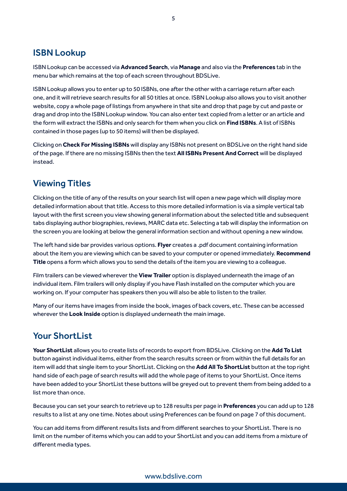### ISBN Lookup

ISBN Lookup can be accessed via **Advanced Search**, via **Manage** and also via the **Preferences** tab in the menu bar which remains at the top of each screen throughout BDSLive.

ISBN Lookup allows you to enter up to 50 ISBNs, one after the other with a carriage return after each one, and it will retrieve search results for all 50 titles at once. ISBN Lookup also allows you to visit another website, copy a whole page of listings from anywhere in that site and drop that page by cut and paste or drag and drop into the ISBN Lookup window. You can also enter text copied from a letter or an article and the form will extract the ISBNs and only search for them when you click on **Find ISBNs**. A list of ISBNs contained in those pages (up to 50 items) will then be displayed.

Clicking on **Check For Missing ISBNs** will display any ISBNs not present on BDSLive on the right hand side of the page. If there are no missing ISBNs then the text **All ISBNs Present And Correct** will be displayed instead.

### Viewing Titles

Clicking on the title of any of the results on your search list will open a new page which will display more detailed information about that title. Access to this more detailed information is via a simple vertical tab layout with the first screen you view showing general information about the selected title and subsequent tabs displaying author biographies, reviews, MARC data etc. Selecting a tab will display the information on the screen you are looking at below the general information section and without opening a new window.

The left hand side bar provides various options. **Flyer** creates a .pdf document containing information about the item you are viewing which can be saved to your computer or opened immediately. **Recommend Title** opens a form which allows you to send the details of the item you are viewing to a colleague.

Film trailers can be viewed wherever the **View Trailer** option is displayed underneath the image of an individual item. Film trailers will only display if you have Flash installed on the computer which you are working on. If your computer has speakers then you will also be able to listen to the trailer.

Many of our items have images from inside the book, images of back covers, etc. These can be accessed wherever the **Look Inside** option is displayed underneath the main image.

### **Your ShortList**

**Your ShortList** allows you to create lists of records to export from BDSLive. Clicking on the **Add To List** button against individual items, either from the search results screen or from within the full details for an item will add that single item to your ShortList. Clicking on the **Add All To ShortList** button at the top right hand side of each page of search results will add the whole page of items to your ShortList. Once items have been added to your ShortList these buttons will be greyed out to prevent them from being added to a list more than once.

Because you can set your search to retrieve up to 128 results per page in **Preferences** you can add up to 128 results to a list at any one time. Notes about using Preferences can be found on page 7 of this document.

You can add items from different results lists and from different searches to your ShortList. There is no limit on the number of items which you can add to your ShortList and you can add items from a mixture of different media types.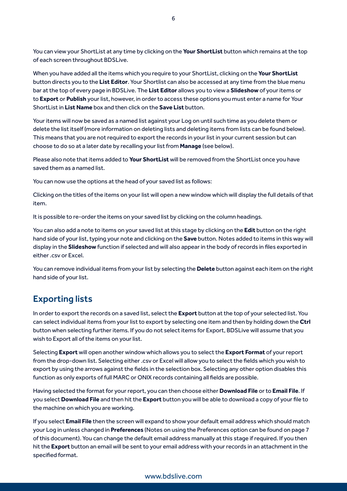You can view your ShortList at any time by clicking on the **Your ShortList** button which remains at the top of each screen throughout BDSLive.

When you have added all the items which you require to your ShortList, clicking on the **Your ShortList** button directs you to the **List Editor**. Your Shortlist can also be accessed at any time from the blue menu bar at the top of every page in BDSLive. The **List Editor** allows you to view a **Slideshow** of your items or to **Export** or **Publish** your list, however, in order to access these options you must enter a name for Your ShortList in **List Name** box and then click on the **Save List** button.

Your items will now be saved as a named list against your Log on until such time as you delete them or delete the list itself (more information on deleting lists and deleting items from lists can be found below). This means that you are not required to export the records in your list in your current session but can choose to do so at a later date by recalling your list from **Manage** (see below).

Please also note that items added to **Your ShortList** will be removed from the ShortList once you have saved them as a named list.

You can now use the options at the head of your saved list as follows:

Clicking on the titles of the items on your list will open a new window which will display the full details of that item.

It is possible to re-order the items on your saved list by clicking on the column headings.

You can also add a note to items on your saved list at this stage by clicking on the **Edit** button on the right hand side of your list, typing your note and clicking on the **Save** button. Notes added to items in this way will display in the **Slideshow** function if selected and will also appear in the body of records in files exported in either .csv or Excel.

You can remove individual items from your list by selecting the **Delete** button against each item on the right hand side of your list.

### Exporting lists

In order to export the records on a saved list, select the **Export** button at the top of your selected list. You can select individual items from your list to export by selecting one item and then by holding down the **Ctrl** button when selecting further items. If you do not select items for Export, BDSLive will assume that you wish to Export all of the items on your list.

Selecting **Export** will open another window which allows you to select the **Export Format** of your report from the drop-down list. Selecting either .csv or Excel will allow you to select the fields which you wish to export by using the arrows against the fields in the selection box. Selecting any other option disables this function as only exports of full MARC or ONIX records containing all fields are possible.

Having selected the format for your report, you can then choose either **Download File** or to **Email File**. If you select **Download File** and then hit the **Export** button you will be able to download a copy of your file to the machine on which you are working.

If you select **Email File** then the screen will expand to show your default email address which should match your Log in unless changed in **Preferences** (Notes on using the Preferences option can be found on page 7 of this document). You can change the default email address manually at this stage if required. If you then hit the **Export** button an email will be sent to your email address with your records in an attachment in the specified format.